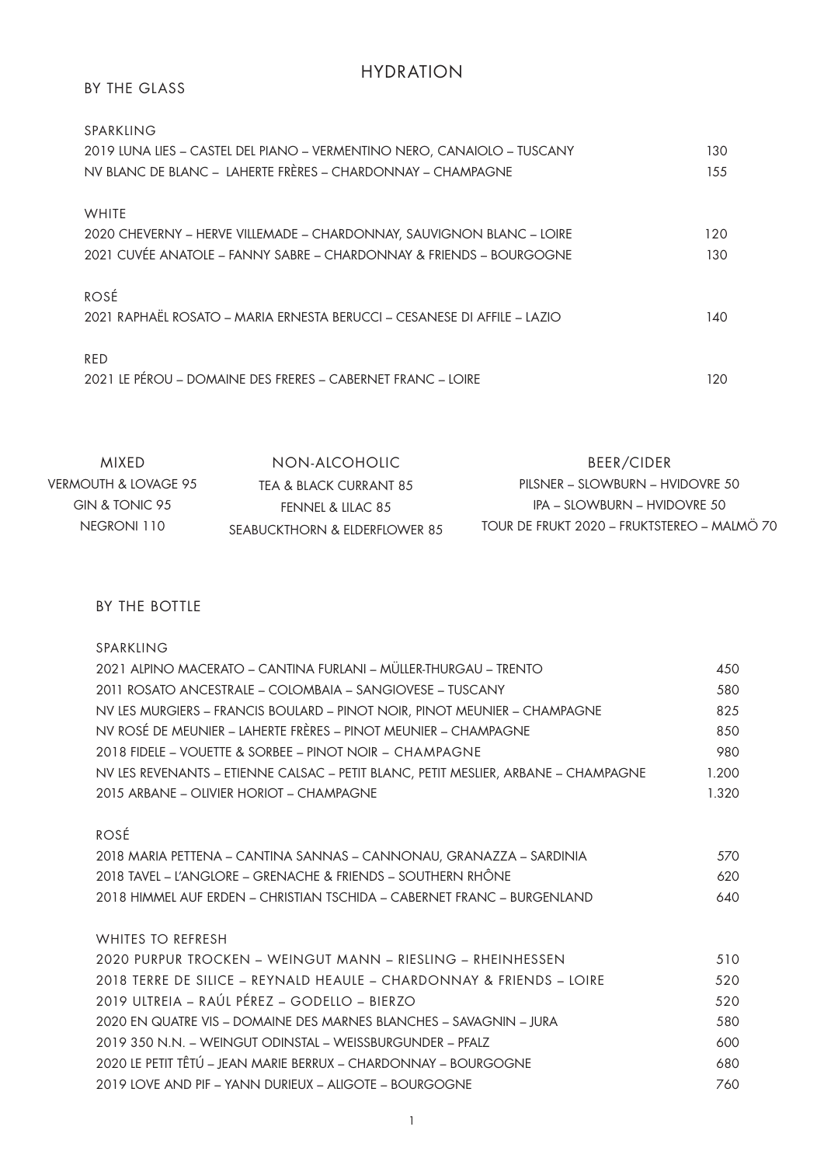# HYDRATION

## BY THE GLASS

| SPARKLING                                                                        |     |
|----------------------------------------------------------------------------------|-----|
| 2019 LUNA LIES - CASTEL DEL PIANO - VERMENTINO NERO, CANAIOLO - TUSCANY          | 130 |
| NV BLANC DE BLANC - LAHERTE FRÈRES - CHARDONNAY - CHAMPAGNE                      | 155 |
| <b>WHITE</b>                                                                     |     |
| 2020 CHEVERNY - HERVE VILLEMADE - CHARDONNAY, SAUVIGNON BLANC - LOIRE            | 120 |
| 2021 CUVÉE ANATOLE – FANNY SABRE – CHARDONNAY & FRIENDS – BOURGOGNE              | 130 |
| ROSÉ<br>2021 RAPHAËL ROSATO – MARIA ERNESTA BERUCCI – CESANESE DI AFFILE – LAZIO | 140 |
| RED<br>2021 LE PÉROU – DOMAINE DES FRERES – CABERNET FRANC – LOIRE               | 120 |

| MIXFD.               | NON-AICOHOLIC                  | BEER/CIDER                                  |
|----------------------|--------------------------------|---------------------------------------------|
| VERMOUTH & LOVAGE 95 | TEA & BLACK CURRANT 8.5        | $PIISNFR - SIOWBLIRN - HVIDONRF 50$         |
| GIN & TONIC 95       | FENNEL & LILAC 8.5             | IPA – SLOWBURN – HVIDOVRE 50                |
| NEGRONI 110          | SEABUCKTHORN & FIDERFIOWER 8.5 | TOUR DE FRUKT 2020 - FRUKTSTEREO - MALMÖ 70 |

BY THE BOTTLE

SPARKLING

| 2021 ALPINO MACERATO – CANTINA FURLANI – MÜLLER-THURGAU – TRENTO                   | 450   |
|------------------------------------------------------------------------------------|-------|
| 2011 ROSATO ANCESTRALE – COLOMBAIA – SANGIOVESE – TUSCANY                          | 580   |
| NV LES MURGIERS - FRANCIS BOULARD - PINOT NOIR, PINOT MEUNIER - CHAMPAGNE          | 825   |
| NV ROSÉ DE MEUNIER – LAHERTE FRÈRES – PINOT MEUNIER – CHAMPAGNE                    | 850   |
| 2018 FIDELE – VOUETTE & SORBEE – PINOT NOIR – CHAMPAGNE                            | 980   |
| NV LES REVENANTS - ETIENNE CALSAC - PETIT BLANC, PETIT MESLIER, ARBANE - CHAMPAGNE | 1.200 |
| 2015 ARBANE - OLIVIER HORIOT - CHAMPAGNE                                           | 1.320 |
|                                                                                    |       |
| ROSÉ                                                                               |       |
| 2018 MARIA PETTENA – CANTINA SANNAS – CANNONAU, GRANAZZA – SARDINIA                | 570   |
| 2018 TAVEL - L'ANGLORE - GRENACHE & FRIENDS - SOUTHERN RHÔNE                       | 620   |
| 2018 HIMMEL AUF ERDEN – CHRISTIAN TSCHIDA – CABERNET FRANC – BURGENLAND            | 640   |
|                                                                                    |       |
| WHITES TO REFRESH                                                                  |       |
| 2020 PURPUR TROCKEN – WEINGUT MANN – RIESLING – RHEINHESSEN                        | 510   |
| 2018 TERRE DE SILICE - REYNALD HEAULE - CHARDONNAY & FRIENDS - LOIRE               | 520   |
| 2019 ULTREIA – RAÚL PÉREZ – GODELLO – BIERZO                                       | 520   |
| 2020 EN QUATRE VIS – DOMAINE DES MARNES BLANCHES – SAVAGNIN – IURA                 | 580   |
| 2019 350 N.N. - WEINGUT ODINSTAL - WEISSBURGUNDER - PEALZ                          | 600   |
| 2020 LE PETIT TÊTÚ - JEAN MARIE BERRUX - CHARDONNAY - BOURGOGNE                    | 680   |
| 2019 LOVE AND PIF – YANN DURIEUX – ALIGOTE – BOURGOGNE                             | 760   |